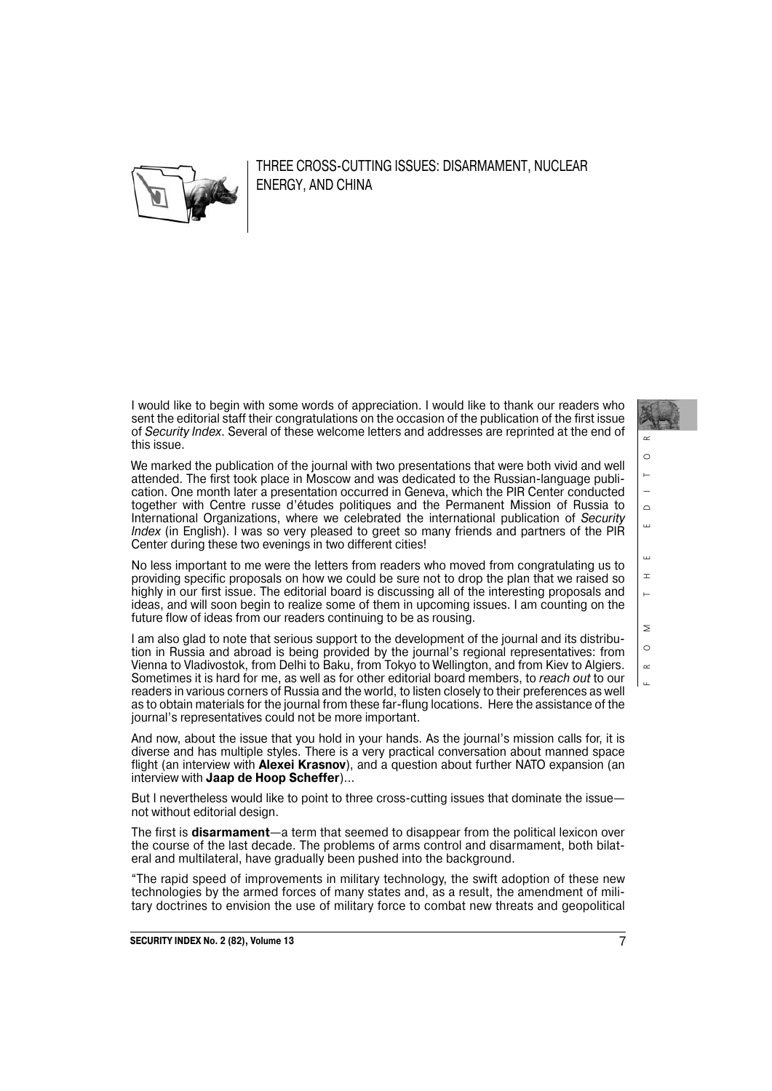

THREE CROSS-CUTTING ISSUES: DISARMAMENT, NUCLEAR ENERGY, AND CHINA

I would like to begin with some words of appreciation. I would like to thank our readers who sent the editorial staff their congratulations on the occasion of the publication of the first issue of Security Index. Several of these welcome letters and addresses are reprinted at the end of this issue.

We marked the publication of the journal with two presentations that were both vivid and well attended. The first took place in Moscow and was dedicated to the Russian-language publi cation. One month later a presentation occurred in Geneva, which the PIR Center conducted together with Centre russe d'études politiques and the Permanent Mission of Russia to International Organizations, where we celebrated the international publication of Security Index (in English). I was so very pleased to greet so many friends and partners of the PIR Center during these two evenings in two different cities!

No less important to me were the letters from readers who moved from congratulating us to providing specific proposals on how we could be sure not to drop the plan that we raised so highly in our first issue. The editorial board is discussing all of the interesting proposals and ideas, and will soon begin to realize some of them in upcoming issues. I am counting on the future flow of ideas from our readers continuing to be as rousing.

I am also glad to note that serious support to the development of the journal and its distribu tion in Russia and abroad is being provided by the journal's regional representatives: from Vienna to Vladivostok, from Delhi to Baku, from Tokyo to Wellington, and from Kiev to Algiers. Sometimes it is hard for me, as well as for other editorial board members, to reach out to our readers in various corners of Russia and the world, to listen closely to their preferences as well as to obtain materials for the journal from these far-flung locations. Here the assistance of the journal's representatives could not be more important.

And now, about the issue that you hold in your hands. As the journal's mission calls for, it is diverse and has multiple styles. There is a very practical conversation about manned space flight (an interview with **Alexei Krasnov**), and a question about further NATO expansion (an interview with **Jaap de Hoop Scheffer**)...

But I nevertheless would like to point to three cross-cutting issues that dominate the issue not without editorial design.

The first is **disarmament**—a term that seemed to disappear from the political lexicon over the course of the last decade. The problems of arms control and disarmament, both bilat eral and multilateral, have gradually been pushed into the background.

"The rapid speed of improvements in military technology, the swift adoption of these new technologies by the armed forces of many states and, as a result, the amendment of mili tary doctrines to envision the use of military force to combat new threats and geopolitical

 $\circ$ 

 $\cap$ Ш

Ш  $\pm$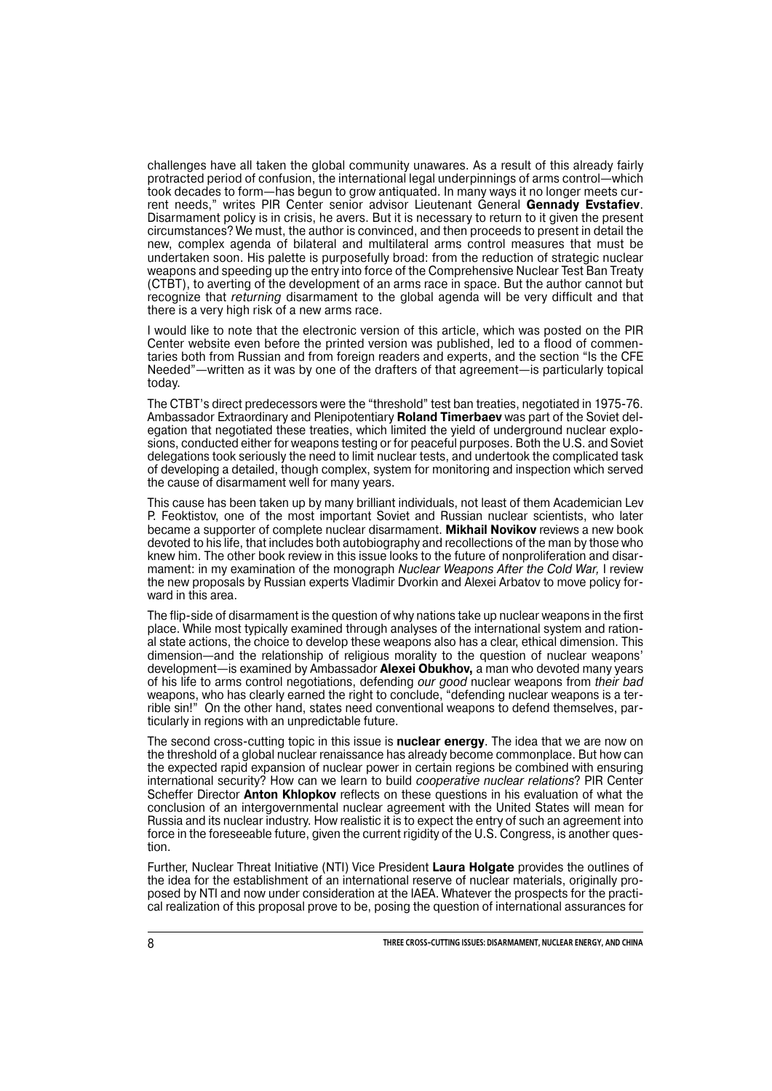challenges have all taken the global community unawares. As a result of this already fairly protracted period of confusion, the international legal underpinnings of arms control—which took decades to form—has begun to grow antiquated. In many ways it no longer meets cur rent needs," writes PIR Center senior advisor Lieutenant General **Gennady Evstafiev**. Disarmament policy is in crisis, he avers. But it is necessary to return to it given the present circumstances? We must, the author is convinced, and then proceeds to present in detail the new, complex agenda of bilateral and multilateral arms control measures that must be undertaken soon. His palette is purposefully broad: from the reduction of strategic nuclear weapons and speeding up the entry into force of the Comprehensive Nuclear Test Ban Treaty (CTBT), to averting of the development of an arms race in space. But the author cannot but recognize that returning disarmament to the global agenda will be very difficult and that there is a very high risk of a new arms race.

I would like to note that the electronic version of this article, which was posted on the PIR Center website even before the printed version was published, led to a flood of commen taries both from Russian and from foreign readers and experts, and the section "Is the CFE Needed"—written as it was by one of the drafters of that agreement—is particularly topical today.

The CTBT's direct predecessors were the "threshold" test ban treaties, negotiated in 1975-76. Ambassador Extraordinary and Plenipotentiary **Roland Timerbaev** was part of the Soviet del egation that negotiated these treaties, which limited the yield of underground nuclear explo sions, conducted either for weapons testing or for peaceful purposes. Both the U.S. and Soviet delegations took seriously the need to limit nuclear tests, and undertook the complicated task of developing a detailed, though complex, system for monitoring and inspection which served the cause of disarmament well for many years.

This cause has been taken up by many brilliant individuals, not least of them Academician Lev P. Feoktistov, one of the most important Soviet and Russian nuclear scientists, who later became a supporter of complete nuclear disarmament. **Mikhail Novikov** reviews a new book devoted to his life, that includes both autobiography and recollections of the man by those who knew him. The other book review in this issue looks to the future of nonproliferation and disar mament: in my examination of the monograph Nuclear Weapons After the Cold War, I review the new proposals by Russian experts Vladimir Dvorkin and Alexei Arbatov to move policy for ward in this area.

The flip-side of disarmament is the question of why nations take up nuclear weapons in the first place. While most typically examined through analyses of the international system and ration al state actions, the choice to develop these weapons also has a clear, ethical dimension. This dimension—and the relationship of religious morality to the question of nuclear weapons' development—is examined by Ambassador **Alexei Obukhov,** a man who devoted many years of his life to arms control negotiations, defending our good nuclear weapons from their bad weapons, who has clearly earned the right to conclude, "defending nuclear weapons is a ter rible sin!" On the other hand, states need conventional weapons to defend themselves, par ticularly in regions with an unpredictable future.

The second cross-cutting topic in this issue is **nuclear energy**. The idea that we are now on the threshold of a global nuclear renaissance has already become commonplace. But how can the expected rapid expansion of nuclear power in certain regions be combined with ensuring international security? How can we learn to build cooperative nuclear relations? PIR Center Scheffer Director **Anton Khlopkov** reflects on these questions in his evaluation of what the conclusion of an intergovernmental nuclear agreement with the United States will mean for Russia and its nuclear industry. How realistic it is to expect the entry of such an agreement into force in the foreseeable future, given the current rigidity of the U.S. Congress, is another ques tion.

Further, Nuclear Threat Initiative (NTI) Vice President **Laura Holgate** provides the outlines of the idea for the establishment of an international reserve of nuclear materials, originally pro posed by NTI and now under consideration at the IAEA. Whatever the prospects for the practi cal realization of this proposal prove to be, posing the question of international assurances for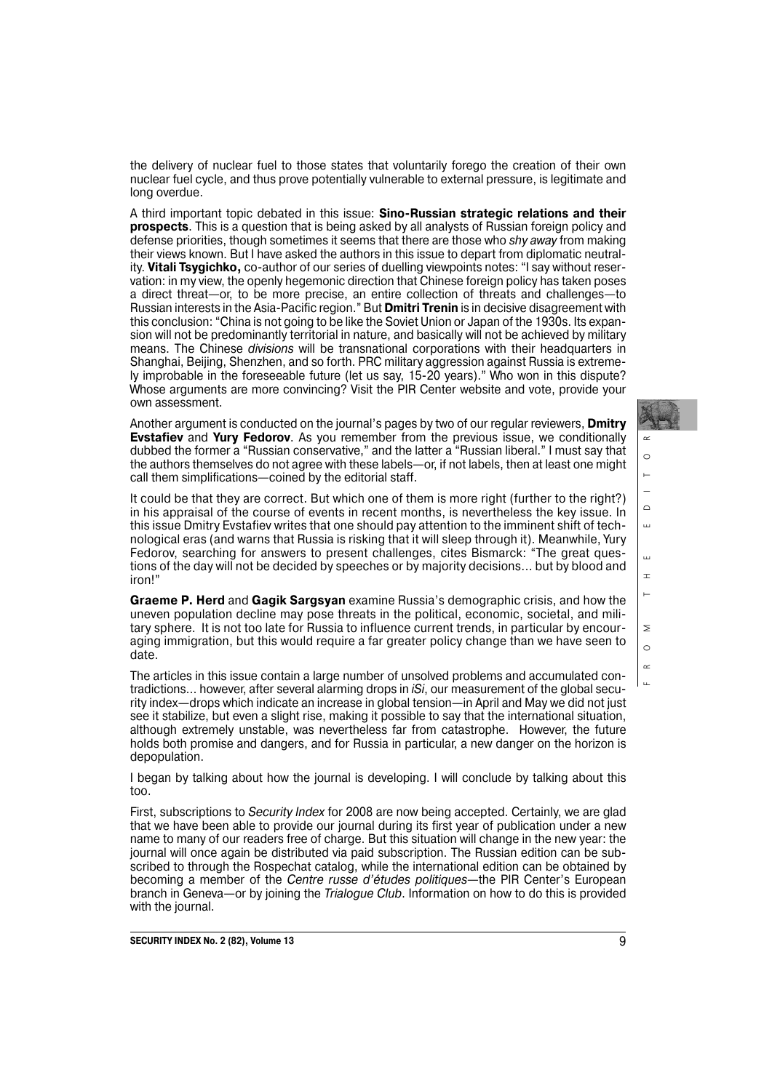the delivery of nuclear fuel to those states that voluntarily forego the creation of their own nuclear fuel cycle, and thus prove potentially vulnerable to external pressure, is legitimate and long overdue.

A third important topic debated in this issue: **Sino-Russian strategic relations and their prospects**. This is a question that is being asked by all analysts of Russian foreign policy and defense priorities, though sometimes it seems that there are those who shy away from making their views known. But I have asked the authors in this issue to depart from diplomatic neutral ity. **Vitali Tsygichko,** co-author of our series of duelling viewpoints notes: "I say without reservation: in my view, the openly hegemonic direction that Chinese foreign policy has taken poses a direct threat—or, to be more precise, an entire collection of threats and challenges—to Russian interests in the Asia-Pacific region." But **Dmitri Trenin** is in decisive disagreement with this conclusion: "China is not going to be like the Soviet Union or Japan of the 1930s. Its expan sion will not be predominantly territorial in nature, and basically will not be achieved by military means. The Chinese divisions will be transnational corporations with their headquarters in Shanghai, Beijing, Shenzhen, and so forth. PRC military aggression against Russia is extreme ly improbable in the foreseeable future (let us say, 15-20 years)." Who won in this dispute? Whose arguments are more convincing? Visit the PIR Center website and vote, provide your own assessment.

Another argument is conducted on the journal's pages by two of our regular reviewers, **Dmitry Evstafiev** and **Yury Fedorov**. As you remember from the previous issue, we conditionally dubbed the former a "Russian conservative," and the latter a "Russian liberal." I must say that the authors themselves do not agree with these labels—or, if not labels, then at least one might call them simplifications—coined by the editorial staff.

It could be that they are correct. But which one of them is more right (further to the right?) in his appraisal of the course of events in recent months, is nevertheless the key issue. In this issue Dmitry Evstafiev writes that one should pay attention to the imminent shift of tech nological eras (and warns that Russia is risking that it will sleep through it). Meanwhile, Yury Fedorov, searching for answers to present challenges, cites Bismarck: "The great ques tions of the day will not be decided by speeches or by majority decisions... but by blood and iron!"

**Graeme P. Herd** and **Gagik Sargsyan** examine Russia's demographic crisis, and how the uneven population decline may pose threats in the political, economic, societal, and mili tary sphere. It is not too late for Russia to influence current trends, in particular by encour aging immigration, but this would require a far greater policy change than we have seen to date.

The articles in this issue contain a large number of unsolved problems and accumulated con tradictions... however, after several alarming drops in iSi, our measurement of the global secu rity index—drops which indicate an increase in global tension—in April and May we did not just see it stabilize, but even a slight rise, making it possible to say that the international situation, although extremely unstable, was nevertheless far from catastrophe. However, the future holds both promise and dangers, and for Russia in particular, a new danger on the horizon is depopulation.

I began by talking about how the journal is developing. I will conclude by talking about this too.

First, subscriptions to Security Index for 2008 are now being accepted. Certainly, we are glad that we have been able to provide our journal during its first year of publication under a new name to many of our readers free of charge. But this situation will change in the new year: the journal will once again be distributed via paid subscription. The Russian edition can be sub scribed to through the Rospechat catalog, while the international edition can be obtained by becoming a member of the Centre russe d'études politiques—the PIR Center's European branch in Geneva—or by joining the Trialogue Club. Information on how to do this is provided with the journal.

 $\circ$  $\overline{a}$ 

 $\cap$ Ш

Ш  $\pm$